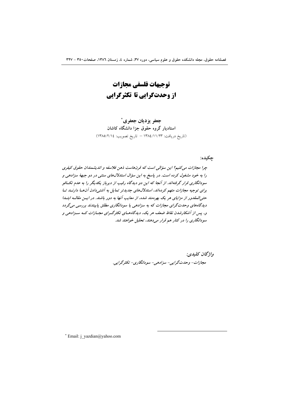توجيهات فلسفى مجازات از وحدتگرایی تا تکثرگرایی

جعفر يزديان جعفري ً استادیار گروه حقوق جزا دانشگاه کاشان (تاريخ دريافت: ١٣٨٤/١١/٢٣ - تاريخ تصويب: ١٣٨٥/٢/١٤)

چکیده:

چرا مجازات می کنیم؟ این سؤالی است که قرنهاست ذهن فلاسفه و اندیشمندان حقوق کیفری را به خود مشغول کرده است. در پاسخ به این سؤال استدلالهای سنتی در دو جبههٔ سزادهی و سودانگاری قرار گرفتهاند. از آنجا که این دو دیدگاه رقیب از دیرباز یکدیگر را به عدم تکافو برای توجیه مجازات متهم کردهاند، استدلال های جدیدتر تمایل به آشتی دادن آن ها دارنسد تبا حتمی المقدور از مزایای هر یک بهره مند شده، از معایب آنها به دور باشند. در ایـن مقالـه ابتـدا دیدگاههای وحدتگرای مجازات که به سزادهی یا سودانگاری مطلق پایبندند بررسی میگردد و، پس از آشکارشدن نقاط ضعف هر یک، دیدگاههای تکثرگرای مجبازات کـه سـزادهی و سودانگاری را در کنار هم قرار میدهند، تحلیل خواهند شد.

> واژگان كليدي: مجازات- وحدت گرايي- سزادهي- سودانگاري- تکثر گرايي.

\* Email: j\_yazdian@yahoo.com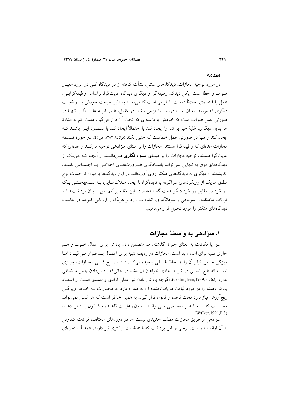#### مقدمه

در مورد توجیه مجازات، دیدگاههای سنتی، نشأت گرفته از دو دیدگاه کلی در مورد معیـار صواب و خطا است؛ یکی دیدگاه وظیفهگرا و دیگری دیدگاه غایتگرا. براساس وظیفهگرایسی، عمل يا قاعدهاي اخلاقاً درست يا الزامي است كه في نفسه به دليل طبيعت خودش يــا واقعيــت دیگری که مربوط به آن است درست یا الزامی باشد. در مقابل، طبق نظریه غایـتگـرا تنهـا در صورتی عمل صواب است که خودش یا قاعدهای که تحت آن قرار می گیرد دست کم به اندازهٔ هر بدیل دیگری، غلبهٔ خیر بر شر را ایجاد کند یا احتمالاً ایجاد کند یا مقـصود ایــن باشــد کــه ایجاد کند و تنها در صورتی عمل خطاست که چنین نکند (فرانکنا، ۱۳۸۳، ص۵). در حوزهٔ فلـسفه مجازات عدهای که وظیفهگرا هستند، مجازات را بر مبنای **سزادهی** توجیه می کنند و عدهای که غایتگرا هستند، توجیه مجازات را بر مبنـای **سـودانگاری** مـیداننـد. از آنجـا کـه هریـک از دیدگاههای فوق به تنهایی نمی تواند پاسخگوی ضرورتهای اخلاقبی یـا اجتمـاعی باشـد. اندیشمندان دیگری به دیدگاههای متکثر روی آوردهاند. در این دیدگاهها با قبول تزاحمات نوع مطلق هریک از رویکردهای سزاگونه یا فایدهگرا، با ایجاد مـلاکهـایی، بـه تقـدمبخـشی یـک رویکرد در مقابل رویکرد دیگر همت گماشتهاند. در این مقاله برآنیم پس از بیان برداشتهـا و قرائات مختلف از سزادهی و سودانگاری، انتقادات وارد بر هریک را ارزیابی کـرده، در نهایـت دیدگاههای متکثر را مورد تحلیل قرار میدهیم.

## ۱. سزادهی به واسطهٔ مجازات

سزا یا مکافات به معنای جبران گذشته، هم متضمن دادن پاداش برای اعمال خــوب و هــم حاوی تنبیه برای اعمال بد است. مجازات در ردیف تنبیه برای اعمـال بـد قـرار مـی گیـرد امـا ویژگی خاص کیفر اّن را از لحاظ فلسفی پیچیده میکند. درد و رنـج ذاتـبی مجـازات، چیــزی نیست که طبع انسانی در شرایط عادی خواهان آن باشد در حالیکه پاداشدادن چنین مشکلی ندارد (Cottingham,1989,P.762). اگرچه یاداش دادن نیز عملی ارادی و عمدی است و اعتقـاد پاداشدهنده را در مورد لياقت دريافتکننده آن به همراه دارد اما مجـازات بــه خــاطر ويژگــي رنج اَورش نیاز دارد تحت قاعده و قانون قرار گیرد. به همین خاطر است که هر کسی نمی تواند مجبازات كنيد اميا هي شخصي مي توانيد بيدون رعايت قاعيده و قيانون يباداش دهيد .(Walker, 1991, P.3)

سزادهی از طریق مجازات مطلب جدیدی نیست اما در دورههای مختلف، قرائات متفاوتی از أن ارائه شده است. برخی از این برداشت که البته قدمت بیشتری نیز دارند، عمدتاً استعارهای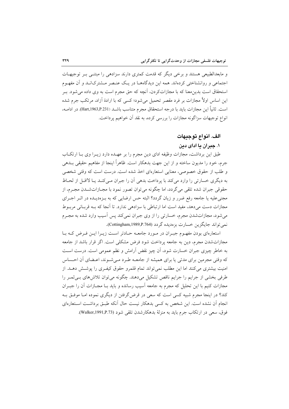و مابعدالطبیعی هستند و برخی دیگر که قدمت کمتری دارند سزادهی را مبتنـی بـر توجیهـات اجتماعی و روانشناختی کردهاند. همه این دیدگاههــا در یــک عنـصر مــشترک|نــد و آن مفهـوم استحقاق است بدینِ معنا که با مجازاتکردن، آنچه که حق مجرم است به وی داده می شود. بـر این اساس اولاً مجازات بر فرد مقصر تحمیل میشود؛ کسی که با ارادهٔ آزاد، مرتکب جرم شده است. ثانياً اين مجازات بايد با درجه استحقاق مجرم متناسب باشـد (Hart,1963,P.231). در ادامــه، انواع توجیهات سزاگونه مجازات را بررسی کرده، به نقد آن خواهیم پرداخت.

### الف. انواع توحيهات

## ۱. جبران یا ادای دین

طبق این برداشت، مجازات وظیفه ادای دین مجرم را بر عهـده دارد زیــرا وی بــا ارتکــاب جرم، خود را مديون ساخته و از اين جهت بدهكار است. ظاهراً اينجا از مفاهيم حقيقى بــدهي و طلب از حقوق خصوصی، معنایی استعارهای اخذ شده است. درست است که وقتی شخصی به دیگری خسارتی را وارد میکند با پرداخت بدهی آن را جبران مے کنـد یـا لااقـل از لحـاظ حقوقي جبران شده تلقي مي گردد، اما چگونه مي توان تصور نمود با مجـازاتشــدن مجـرم، از مجنی علیه یا جامعه رفع ضرر و زیان گردد؟ البته حس ارضایی که به بـزهدیــده در اثــر اجــرای مجازات دست میدهد، مفید است اما ارتباطی با سزادهی ندارد. تا آنجا که بـه قربـانی مربـوط می شود، مجازات شدن مجرم، خسارتی را از وی جبران نمی کند پس آسیب وارد شده به مجـرم نمي تواند جايگزين خسارت بزمديده گردد (Cottingham,1989,P.764).

استعارهای بودن مفهـوم جبـران در مـورد جامعـه حـادتر اسـت زيـرا ايـن فـرض كـه بـا مجازاتشدن مجرم، دین به جامعه پرداخت شود فرض مشکلی است. اگر قرار باشد از جامعه به خاطر چیزی جبران خسارت شود، آن چیز نقض آرامش و نظم عمومی است. درست است که وقتی مجرمین برای مدتی یا برای همیشه از جامعـه طـرد مـی شـوند، اعـضای آن احـساس امنیت بیشتری می کنند اما این مطلب نمی تواند تمام قلمرو حقوق کیف یی را پوشش دهـد. از طرفي بخشي از جرايم را جرايم ناقص تشكيل مي دهند. چگونه مي توان تلاش هاي بـي ثمـر را مجازات کنیم با این تحلیل که مجرم به جامعه آسیب رسانده و باید بـا مجـازات آن را جبــران کند؟ در اینجا مجرم شبیه کسی است که سعی در قرض گرفتن از دیگری نموده امـا موفـق بـه انجام آن نشده است. این شخص به کسی بدهکار نیست حال آنکه طبـق برداشـت اسـتعارهای فوق، سعي در ارتكاب جرم بايد به منزلة بدهكارشدن تلقى شود (Walker,1991,P.73).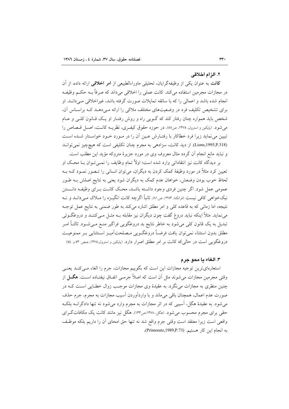#### ٢. الزام اخلاقي

**کانت** به عنوان یکی از وظیفهگرایان، تحلیل<sub>ی</sub> ماوراءالطبیعی از **امر اخلاقی** ارائه داده، از آن در مجازات مجرمین استفاده میکند. کانت عملی را اخلاقی میداند که صرفاً بـه حکـم وظیفـه انجام شده باشد و اعمالی را که با سائقه تمایلات صورت گرفته باشد، غیراخلاقی مـیدانــد. او برای تشخیص تکلیف فرد در وضعیتهای مختلف ملاکی را ارائه مے دهـد کـه براسـاس آن، شخص باید همواره چنان رفتار کند که گـویی راه و روش رفتـار او یـک قـانون کلـی و عـام مي شود. (پاپکين و استرول، ١٣٧٥، ص٥٥). در حوزه حقوق کيفري، نظريــه کانــت، اصــل قــصاص را تبیین می نماید زیرا فرد خطاکار با رفتـارش عـین آن را در مـورد خـود خواسـتار شـده اسـت (Lions,1995,P.318). از دید کانت، سزادهی به مجرم چنان تکلیفی است که هیچچیز نمی توانـد و نبايد مانع انجام أن گردد مثال معروف وي در مورد جزيرهٔ متروكه مؤيد اين مطلب است.

بر ديدگاه كانت نيز انتقاداتي وارد شده است؛ اولاً تمام وظايف را نمـي تـوان بــا محـك او تعیین کرد مثلاً در مورد وظیفهٔ کمک کردن به دیگران، می توان انسانی را تـصور نمـود کـه بـه لحاظ خوب بودن وضعش، خواهان عدم کمک به دیگران شود یعنی به نتایج اصلش بــه طــور عمومی عمل شود. اگر چنین فردی وجود داشته باشـد، محـک کانـت بـرای وظیفـه دانــستن نیکخواهی کافی نیست (فرانکنا، ۱۳۸۳، ص۸۱). ثانیاً اگرچه کانت انگیــزه را مــلاک مــی،دانــد و نــه نتیجه، اما زمانی که به قاعده کلی و امر مطلق اشاره میکند به طور ضمنی به نتایج عمل توجـه می نماید. مثلاً اینکه نباید دروغ گفت چون دیگران نیز مقابله بــه مثــل مــیکننــد و دروغگــوئی تبدیل به یک قانون کلی میشود به خاطر نتایج بد دروغگویی فراگیر منـع مـی شـود. ثالثـاً امـر مطلق بدون استثناء نمي توان يافت فرضـاً دروغگـويي مـصلحتآميـز اسـتثنايي بـر ممنوعيـت دروغگویی است در حالی که کانت بر امر مطلق اصرار دارد. (بایکین و استرول،۱۳۷۵، صص ۵۳ و ٥٤)

#### ٣. الغاء يا محو جرم

استعارهای ترین توجیه مجازات این است که بگوییم مجازات، جرم را الغاء مـی کنـد یعنـی وقتی مجرمین مجازات می شوند مثل آن است که اصلاً جرمـی اتفـاق نیفتـاده اسـت. هگــل از چنین منظری به مجازات می نگرد. به عقیدهٔ وی مجازات موجـب زوال خطـایی اسـت کــه در صورت عدم اعمال، همچنان باقی میماند و با واردآوردن آسیب مجازات به مجرم، جرم حذف می شود. به عقیدهٔ هگل، آسیبی که در اثر مجازات به مجرم وارد می شود نه تنها دادگرانــه بلکــه حقی برای مجرم محسوب می شود. (هگل، ۱۳۷۸،ص۱۳۳). هگل نیز مانند کانت یک مکافات گـرای واقعي است زيرا معتقد است وقتي جرم واقع شد نه تنها حق امحاي أن را داريم بلكه موظف به انجام این کار هستیم. (Primoratz,1989,P.73).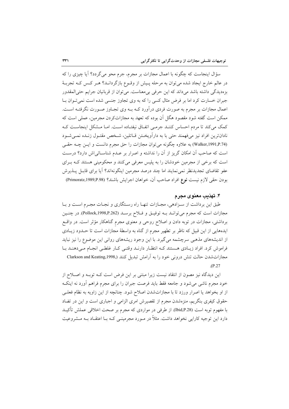سؤال اینجاست که چگونه با اعمال مجازات بر مجرم، جرم محو می گردد؟ آیا چیزی را که در عالم خارج ایجاد شده می توان به مرحله پیش از وقیوع بازگردانید؟ هیر کس کیه تجربیهٔ بزهديدگي داشته باشد ميداند كه اين حرفي بي معناست. مي توان از قربانيان جرايم حتى المقدور جبران خسارت کرد اما بر فرض مثال کسی را که به وی تجاوز جنسی شده است نمی تـوان بـا اعمال مجازات بر مجرم به صورت فردي درآورد كـه بـه وي تجـاوز صـورت نگرفتـه اسـت. ممکن است گفته شود مقصود هگل آن بوده که تعهد به مجازاتکردن مجرمین، عملی است که کمک می کند تا مردم احساس کننـد جرمـی اتفـاق نیفتـاده اسـت. امـا مـشکل اینجاسـت کـه نادانترین افراد نیز می فهمند حتی با به دارآویختن قباتلین، شخص مقتـول زنـده نمـی شـود (Walker,1991,P.74) به علاوه چگونه می توان مجازات را حق مجرم دانست و ایـن چـه حقـی است كه صاحب أن امكان گريز از أن را نداشته و اصرار بر عـدم شناسـائي اش دارد؟ درسـت است که برخی از مجرمین خودشان را به پلیس معرفی میکنند و محکومینی هستند کـه بـرای عفو تقاضاي تجديدنظر نمى نمايند اما چند درصد مجرمين اينگونهاند؟ آيا براي قابــل پــذيرش بودن حقى لازم نيست نوع افراد صاحب آن، خواهان اجرايش باشند؟ (Primoratz,1989,P.98)

### ۴. تهذيب معنوي مجرم

طبق این برداشت از سـزادهی، مجـازات تنهـا راه رسـتگاری و نجـات مجـرم اسـت و بـا مجازات است كه مجرم مي توانـد بـه توفيــق و فــلاح برسـد (Pollock,1998,P.262). در چنـين برداشتی، مجازات در توبه دادن و اصلاح روحی و معنوی مجرم گناهکار مؤثر است. در واقع ایدههایی از این قبیل که ناظر بر تطهیر مجرم از گناه به واسطهٔ مجازات است تا حـدود زیـادی از اندیشههای مذهبی سرچشمه می گیرد. با این وجود ریشههای روانی این موضوع را نیز نباید فراموش کرد. افراد زیبادی هستند کبه انتظبار دارنید وقتبی کبار غلطبی انجبام مبی دهنید بیا مجازات شدن حالت تنش درونی خود را به آرامش تبدیل کنند (Clarkson and Keating,1998,  $.P.27$ 

این دیدگاه نیز مصون از انتقاد نیست زیرا مبتنی بر این فرض است کـه توبـه و اصـلاح از خود مجرم ناشی می شود و جامعه فقط باید فرصت جبران را برای مجرم فراهم آورد نه اینک از او بخواهد یا اصرار ورزد تا با مجازاتشدن اصلاح شود. چنانچه از این زاویه به نظام فعلـی حقوق کیفری بنگریم، منزهشدن مجرم از تقصیرش امری الزامی و اجباری است و این در تضاد با مفهوم توبه است (Ibid,P.28). از طرفی در مواردی که مجرم بر صحت اخلاقی عملش تأکیـد دارد این توجیه کارایی نخواهد داشت. مثلاً در مـورد مجرمینــی کـه بـا اعتقــاد بــه مــشروعیت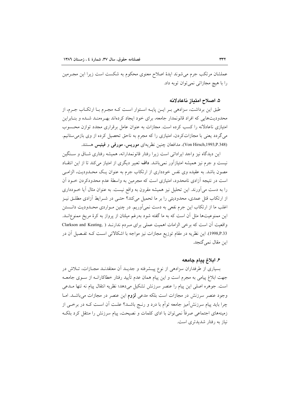عملشان مرتکب جرم می شوند ایدهٔ اصلاح معنوی محکوم به شکست است زیرا این مجـرمین را یا هیچ مجازاتی نمی توان توبه داد.

### ۵. اصلاح امتياز ناعادلانه

طبق این برداشت، سزادهی بـر ایـن پایـه اسـتوار اسـت کـه مجـرم بـا ارتکـاب جـرم، از محدودیتهایی که افراد قانونمدار جامعه، برای خود ایجاد کردهاند بهـرهمنـد شـده و بنـابراین امتیازی ناعادلانه را کسب کرده است. مجازات به عنوان عامل برقراری مجدد توازن محسوب می گردد یعنی با مجازاتکردن، امتیازی را که مجرم به ناحق تحصیل کرده از وی بازمی ستانیم. (Von Hirsch,1993,P.348). مدافعان چنین نظریهای موریس، مورفی و فینیس هستند.

این دیدگاه نیز واجد ایراداتی است زیرا رفتار قانونمدارانه، همیشه رفتاری شـاق و سـنگین نیست و جرم نیز همیشه امتیازآور نمی باشد. **داف** تعبیر دیگری از امتیاز می کند تا از این انتقـاد مصون باشد. به عقیده وی نفس خودداری از ارتکاب جرم به عنوان یـک محـدودیت، الزامـی است در نتیجه آزادی نامحدود، امتیازی است که مجرمین به واسطهٔ عدم محدودکردن خــود آن را به دست میآورند. این تحلیل نیز همیشه مقرون به واقع نیست. به عنوان مثال آیا خـودداری از ارتکاب قتل عمدی، محدودیتی را بر ما تحمیل میکند؟ حتـی در شـرایط آزادی مطلـق نیـز اغلب ما از ارتکاب این جرم نفعی به دست نمیآوریم. در چنین مـواردی محـدودیت دانــستن این ممنوعیتها مثل آن است که به ما گفته شود بهرغم میلتان از پرواز به کرهٔ مریخ ممنوعانــد. واقعیت أن است كه برخی الزامات اهمیت عملی برای مـردم ندارنـد ( Clarkson and Keating, 1998,P.33). این نظریه در مقام توزیع مجازات نیز مواجه با اشکالاتی است کـه تفـصیل آن در اين مقال نمي گنجد.

### ۶. ابلاغ پیام جامعه

بسیاری از طرفداران سزادهی از نوع پیــشرفته و جدیــد اَن معتقدنــد مجــازات، تــلاش در جهت ابلاغ پیامی به مجرم است و این پیام همان عدم تأیید رفتار خطاکارانــه از ســوی جامعــه است. جوهره اصلی این پیام را عنصر سرزنش تشکیل میدهد؛ نظریه انتقال پیام نه تنها مـدعی وجود عنصر سرزنش در مجازات است بلکه مدعی لزوم این عنصر در مجازات می باشـد. امـا چرا باید پیام سرزنش[میز جامعه توأم با درد و رنــج باشــد؟ علــت آن اســت کــه در برخــی از زمینههای اجتماعی صرفاً نمیٍتوان با ادای کلمات و نصیحت، پیام سرزنش را منتقل کرد بلکـه نیاز به رفتار شدیدتری است.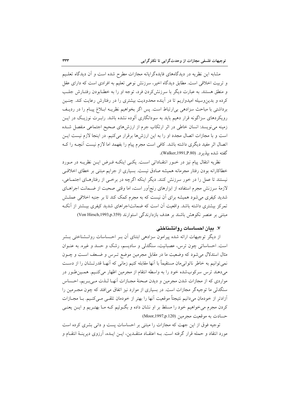مشابه این نظریه در دیدگاههای فایدهگرایانه مجازات مطرح شده است و آن دیدگاه تعلیم و تربیت اخلاقی است. مطابق دیدگاه اخیر، سرزنش نوعی تعلیم به افرادی است که دارای عقل و منطق هستند. به عبارت دیگر با سرزنش کردن فرد، توجه او را به خطـابودن رفتـارش جلـب کرده و بدین وسیله امیدواریم تا در آینده محدودیت بیشتری را در رفتارش رعایت کند. چنـین برداشتی با مباحث سزادهی بی|رتباط است. پس اگر بخواهیم نظریـه ابـلاغ پیـام را در ردیـف رویکردهای سزاگونه قرار دهیم باید به سودانگاری آلوده نشده باشد. رابـرت نوزیـک در ایــن زمینه می نویسد: انسان خاطی در اثر ارتکاب جرم از ارزش های صحیح اجتماعی منفصل شـده است و با مجازات اتصال مجدد او را به این ارزش ها برقرار می کنیم. در اینجا لازم نیست ایـن اتصال اثر مفید دیگری داشته باشد. کافی است مجرم پیام را بفهمد اما لازم نیست آنچــه را کــه گفته شده بیذیر د. (Walker,1991,P.80).

نظریه انتقال پیام نیز در خــور انتقــاداتی اســت. یکــی اینکــه فــرض ایــن نظریــه در مــورد خطاکارانه بودن رفتار مجرمانه همیشه صادق نیست. بسیاری از جرایم مبتنی بر خطای اخلاقی نیستند تا عمل را در خور سرزنش کنند. دیگر اینکه اگرچه در برخمی از رفتارهـای اجتمـاعی، لازمهٔ سرزنش مجرم استفاده از ابزارهای رنجآور است، اما وقتی صحبت از ضـمانت اجراهــای شدید کیفری می شود همیشه برای آن نیست که به مجرم کمک کند تا بر جنبه اخلاقی عملـش تمرکز بیشتری داشته باشد. واقعیت آن است که ضمانتاجراهای شدید کیفری بیـشتر از آنکـه مبتنی بر عنصر نکوهش باشند بر هدف بازدارندگی استوارند (Von Hirsch,1993,p.359)

### ۷. بیان احساسات روانشناختی

از دیگر توجیهات ارائه شده پیرامون سزادهی ابتنای آن بـر احـساسات روانــشناختی بــشر است. احساساتی چون ترس، عصبانیت، سنگدلی و سادیسم، رشک و حسد و غیره. به عنـوان مثال استدلال می شود که وضعیت ما در مقابل مجرمین موضع تـرس و ضـعف اسـت و چـون نمی توانیم به خاطر ناتوانی مان مستقیماً با آنها مقابله کنیم زمانی که آنهـا قدرتـشان را از دسـت میدهند ترس سرکوبشده خود را به واسطه انتقام از مجرمین اظهار میکنیم. همـینطور در مواردي كه از مجازات شدن مجرمين و ديدن صحنهٔ مجـازات آنهـا لـذت مـي بـريم، احـساس سنگدلی ما توجیهگر مجازات است. در بسیاری از موارد نیز اتفاق می|فتد که چون مجـرمین را أزادتر از خودمان میدانیم نتیجتاً موقعیت آنها را بهتر از خودمان تلقـی مـیکنـیم. بـا مجــازات کردن مجرم می خواهیم خود را مسلط بر او نشان داده و بگـوئیم کـه مـا بهتـریم و ایــن یعنـی حسادت به موقعیت مجرمین (Moor,1997,p.120)

توجیه فوق از این جهت که مجازات را مبتنی بر احساسات پست و دانی بشری کرده است مورد انتقاد و حمله قرار گرفته است. بــه اعتقــاد منتقــدین، ایــن ایــده، آرزوی دیرینــهٔ انتقــام و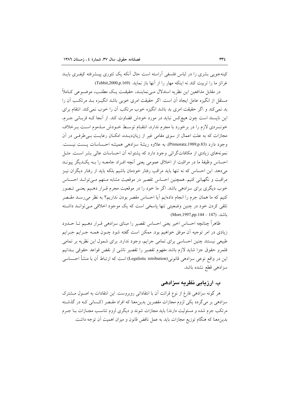کینهجویی بشری را در لباس فلسفی آراسته است حال آنکه یک تئوری پیــشرفته کیفـری بایــد غرائز ما را تربيت كند نه ابنكه مهار را از آنها باز نمايد. (Tebbit,2000,p.169)

در مقابل مدافعین این نظریه استدلال مے نماینـد، حقیقـت یـک مطلـب، موضـوعی کـاملاً مستقل از انگیزه عامل ایجاد آن است. اگر حقیقت امری خوبی باشد انگیـزه بــد مرتکــب آن را بد نمی کند و اگر حقیقت امری بد باشد انگیزه خوب مرتکب آن را خوب نمی کند. انتقام برای این ناپسند است چون هیچکس نباید در مورد خودش قضاوت کند. از آنجا کـه قربـانی جـرم، خونسردی لازم را در برخورد با مجرم ندارد، انتقـام توسـط خـودش مـذموم اسـت بـرخلاف مجازات که به علت اعمال از سوی مقامی غیر از زیاندیـده، امکــان رعایــت بــی طرفــی در آن وجود دارد (Primoratz,1989,p.83) به علاوه ريشة سزادهي هميشه احساسات پست نيست. نمونههای زیادی از مکافاتگرائی وجود دارد که پشتوانه آن احساسات عالی بشر است. مثـل احساس وظيفة ما در مراقبت از اخلاق عمومي يعني أنچه افـراد جامعــه را بــه يكــديگر ييونــد میدهد. این احساس که نه تنها باید مراقب رفتار خودمان باشیم بلکه باید از رفتار دیگران نیـز مراقبت و نگهبانی کنیم. همچنین احساس تقصیر در موقعیت مشابه مـتهم مـیتوانــد احــساس خوب دیگری برای سزادهی باشد. اگر ما خود را در موقعیت مجرم قـرار دهـیم یعنـی تـصور كنيم كه ما همان جرم را انجام دادهايم آيا احساس مقصر بودن نداريم؟ به نظر مىرسـد مقـصر تلقی کردن خود در چنین وضعیتی تنها پاسخی است که یک موجود اخلاقی مـیتوانــد داشـته ىاشد. (Morr, 1997,pp. 144 – 147)

ظاهراً چنانچه احساس اخیر یعنی احساس تقصیر را مبنای سزادهی قــرار دهــیم تــا حــدود زیادی در امر توجیه آن موفق خواهیم بود. ممکن است گفته شود چــون همــه جــرایم جــرایم طبیعی نیستند چنین احساسی برای تمامی جرایم، وجود ندارد. برای شمول این نظریه بر تمامی قلمرو حقوق جزا شايد لازم باشد مفهوم تقصير را تقصير ناشى از نقض قواعد حقوقى بـدانيم این در واقع نوعی سزادهی قانونی(Legalistic retribution) است که ارتباط آن با منشأ احــساسی سزادهي قطع نشده باشد.

# ب. ارزیابی نظریه سزادهی

هر گونه سزادهی فارغ از نوع قرائت أن با انتقاداتی روبروست. این انتقادات به اصــول مــشترک سزادهی بر میگردد یکی لزوم مجازات مقصرین بدین.معنا که افراد مقـصر (کـسانی کـه در گذشـته مرتکب جرم شده و مسئولیت دارند) باید مجازات شوند و دیگری لزوم تناسـب مجــازات بــا جــرم بدینِ معنا که هنگام توزیع مجازات باید به عمل ناقض قانون و میزان اهمیت اَن توجه داشت.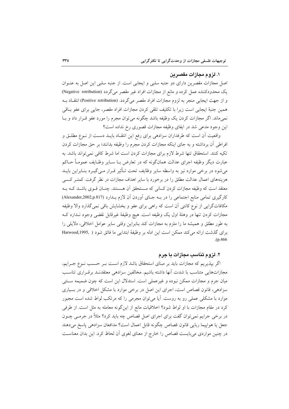### ۱. لزوم مجازات مقصر بن

اصل مجازات مقصرین دارای دو جنبه سلبی و ایجابی است. از جنبه سلبی این اصل به عنـوان یک محدودکننده عمل کرده و مانع از مجازات افراد غیر مقصر میگردد (Negative retribution) و از جهت ایجابی منجر به لزوم مجازات افراد مقصر میگردد. (Positive retribution) انتقاد بـه همین جنبهٔ ایجابی است زیرا با تکلیف تلقی کردن مجازات افراد مقصر، جایی برای عفو بـاقی نمی ماند. اگر مجازات کردن یک وظیفه باشد چگونه می توان مجرم را مورد عفو قـرار داد و بــا این وجود مدعی شد در ایفای وظیفه مجازات قصوری رخ نداده است؟

واقعیت آن است که طرفداران سزادهی برای رفع این انتقـاد بایـد دسـت از نــوع مطلــق و افراطی آن برداشته و به جای اینکه مجازات کردن مجرم را وظیفه بدانند؛ بر حق مجازات کردن تکیه کنند. استحقاق تنها شرط لازم برای مجازات کردن است اما شرط کافی نمی تواند باشد. به عبارت دیگر وظیفه اجرای عدالت همانگونه که در تعارض بــا ســایر وظــایف عمومــاً حــاکم می شود در برخی موارد نیز به واسطه سایر وظایف تحت تــأثیر قــرار مــی گیــرد بنــابراین بایــد هزینههای اعمال عدالت مطلق را در برخورد با سایر اهداف مجازات در نظر گرفت. کمتـر کـسی معتقد است که وظیفه مجازات کردن کسانی که مـستحقق آن هـستند. چنـان قــوی باشــد کــه بــه كارگيري تمامي منابع اجتماعي را در بـه جـاي آوردن آن لازم بـدارد (Alexander,2002,p.817) مکافاتگرایی از نوع کانتی آن است که راهی برای عفو و بخشایش باقی نمی گذارد والا وظیفه مجازات کردن تنها در وهلهٔ اول یک وظیفه است. هیچ وظیفهٔ غیرقابل نقضی وجود نـدارد کـه به طور مطلق و همیشه ما را ملزم به مجازات کند بنابراین وقتی سایر عوامل اخلاقی، دلایلی را براي گذشت ارائه مي كند ممكن است اين ادله بر وظيفة ابتدايي ما فائق شود ( ,Harwood,1995  $(p.466)$ 

### ۲. لزوم تناسب مجازات با جرم

اگر بپذیریم که مجازات باید بر مبنای استحقاق باشد لازم اسـت بـر حـسب نـوع جـرایم، مجازاتهایی متناسب با شدت آنها داشته باشیم. مخالفین سزادهی معتقدنـد برقـراری تناسـب میان جرم و مجازات ممکن نبوده و غیرعملی است. استدلال این است که چون ضمیمه سـنتی سزادهی، قانون قصاص است، اجرای این اصل در برخی موارد با مشکل اخلاقی و در بسیاری موارد با مشکلی عملی رو به روست. آیا می توان مجرمی را که مرتکب لواط شده است مجبور کرد در مقام مجازات با او لواط شود؟ اخلاقیات مانع از اینگونه معامله به مثل است. از طرفی در برخی جرایم نمیتوان گفت برای اجرای اصل قصاص چه باید کرد؟ مثلاً در جرمـی چــون جعل يا هواپيما ربايي قانون قصاص چگونه قابل اعمال است؟ مدافعان سزادهي پاسخ ميدهند در چنین مواردی می بایست قصاص را خارج از معنای لغوی آن لحاظ کرد. این بدان معناست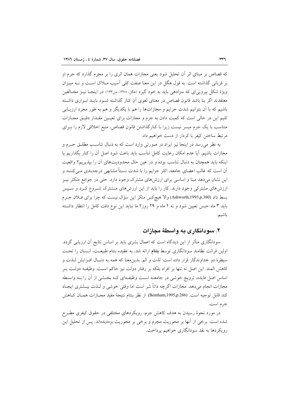که قصاص بر مبنای اثر آن تحلیل شود یعنی مجازات همان اثری را بر مجرم گذارد که جرم او بر قربانی گذاشته است. به قول هگل در این معنا صفت کلی آسیب مبلاک اسـت و نــه میــزان ویژهٔ شکل بیرونی ای که سزادهی باید به خود گیرد (مگل، ۱۳۷۸، ص۱۳۳). در اینجـا نیــز مخـالفین معتقدند اگر بنا باشد قانون قصاص در معنای لغوی آن کنار گذاشته شـود بایــد ابـزاری داشــته باشیم که با اَن بتوانیم شدت جرایم و مجازاتها را هم با یکدیگر و هم به طور مجرد ارزیــابی کنیم این در حالی است که کمیت دادن به جرم و مجازات برای تعیـین مقـدار دقیـق مجـازات متناسب با یک جرم میسر نیست زیرا با کنارگذاشتن قانون قصاص، منبع اخلاقی لازم را بـرای مرتبط ساختن کیفر با کردار از دست خواهیم داد.

به نظر می رسد در اینجا نیز ایراد در صورتی وارد است که به دنبال تناسب مطلـق جـرم و مجازات باشیم. آیا عدم امکان رعایت کامل تناسب باید باعث شود اصل آن را کنار بگذاریم یا اینکه باید همچنان به دنبال تناسب بوده و در عین حال محدودیتهای آن را بیذیریم؟ واقعیت آن است که غالب اعضای جامعه، اکثر جرایم را با شدت نسبتاً مشابهی درجهبندی مــیکننــد و این نشان می،دهد مبنا و اساسی برای ارزشهای مشترک وجود دارد. حتی در جوامع متکثر نیـز ارزشهای مشترکی وجود دارند. کار را باید از این ارزشهای مشترک شـروع کـرد و سـیس بسط داد (Ashworth,1993,p.380) والا هيچكس منكر اين سؤال نيست كه چرا براي فلان جـرم باید ۳ ماه حبس تعیین شود و نه ۲ ماه و ۲۹ روز؟ ما نباید این نوع دقت کامل را انتظار داشته باشيم.

## ۲. سو دانگار ی په واسطهٔ محاز ات

سودانگاری متأثر از این دیدگاه است که اعمال بشری باید بر اساس نتایج آن ارزیابی گردد. اولین قرائت نظامند سودانگاری توسط **بتنام** ارائه شد. به عقیده بنتام طبیعـت، انــسان را تحــت سيطرة دو خداوندگار قرار داده است: لذت و الم. بدين معنا كه همه به دنبـال افـزايش لـذت و كاهش المند. اين اصل نه تنها بر افراد بلكه بر رفتار دولت نيز حاكم است. وظيف دولت بـر اساس اصل فایده، ترویج خوشی در جامعــه اسـت وظیفــهای کــه بخــشی از آن را بــه واســطه مجازات انجام مي دهد. مجازات اگرچه ذاتاً شر است اما وقتي خوشي و لـذت بيــشتري ايجــاد كند قابل توجيه است. (Bentham,1995,p.286) از نظر بنتام نتيجهٔ مفيد مجـازات همـان كـاهش جر م است.

در مورد نحوهٔ رسیدن به هدف کاهش جرم، رویکردهای مختلفی در حقوق کیفری مطـرح شده است. برخی از آنها بر محوریت مجرم و برخی بر محوریت بزهدیدهاند. پس از تحلیل این رویکردها به نقد سودانگاری خواهیم پرداخت.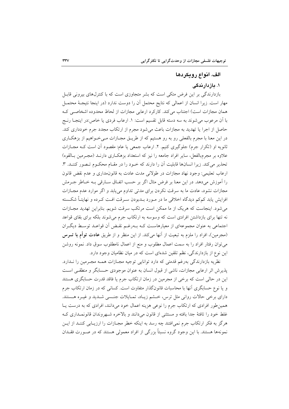## الف. انواع رويكردها

### ۱. بازدارندگی

بازدارندگی بر این فرض متکی است که بشر متجاوزی است که با کنترلهای بیرونی قابـل مهار است. زیرا انسان از اعمالی که نتایج محتمل آن را دوست ندارد (در اینجا نتیجـهٔ محتمـل همان مجازات است) اجتناب می کند. کارکرد ارعابی مجازات از لحاظ محدوده اشخاصی ک با آن مرعوب می شوند به سه دسته قابل تقسیم است: ۱. ارعاب فردی یا خاص:در اینجـا رنــج حاصل از اجرا یا تهدید به مجازات باعث میشود مجرم از ارتکاب مجدد جرم خودداری کند. در این معنا با مجرم بالفعلی رو به رو هستیم که از طریـق مجـازات مـیخـواهیم از بزهکـاری ثانویه او (تکرار جرم) جلوگیری کنیم. ۲. ارعاب جمعی یا عام: مقصود آن است کـه مجـازات علاوه بر مجرمبالفعل، سایر افراد جامعه را نیز که استعداد بزهکـاری دارنــد (مجـرمین بــالقوه) تحذیر می کند. زیرا انسانها قابلیت آن را دارند که خـود را در مقـام محکـوم تـصور کننـد. ۳. ارعاب تعليمي: وجود نهاد مجازات در طولاني مدت عادت به قانونِمداري و عدم نقض قانون را آموزش میدهد. در این معنا بر فرض مثال اگر بر حسب اتفاق سـارقی بـه خـاطر جــرمش مجازات نشود، عادت ما به سرقت نکردن برای مدتی تداوم می یابد و اگر موارد عدم مجـازات افزایش یابد کمکم دیدگاه اخلاقی ما در مـورد بـدبودن سـرقت افـت کـرده و نهایتـاً شکــسته می شود. اینجاست که هریک از ما ممکن است مرتکب سرقت شویم. بنابراین تهدید مجـازات نه تنها برای بازداشتن افرادی است که وسوسه به ارتکاب جرم می شوند بلکه برای بقای قواعد اجتماعی به عنوان مجموعهای از معیارهاست کـه بـهرغـم نقـض آن قواعـد توسـط دیگـران (مجرمین)، افراد را ملزم به تبعیت از آنها میکند. از این منظر و از طریق عادت توأم با تسرس میتوان رفتار افراد را به سمت اعمال مطلوب و منع از اعمال نامطلوب سوق داد. نمونه روشن این نوع از بازدارندگی، نظم تلقین شدهای است که در میان نظامیان وجود دارد.

نظریه بازدارندگی بهرغم قدمتی که دارد توانایی توجیه مجــازات همــه مجــرمین را نــدارد. پذیرش اثر ارعابی مجازات، ناشی از قبول انسان به عنوان موجودی حسابگر و منطقی است این در حالی است که برخی از مجرمین در زمان ارتکاب جرم یا فاقد قدرت حسابگری هستند و یا نوع حسابگری آنها با محاسبات قانونگذار متفاوت است. کسانی که در زمان ارتکاب جرم دارای برخی حالات روانی مثل ترس، خــشم زیــاد، تمـایلات جنــسی شــدید و غیــره هــستند. همین طور افرادی که ارتکاب جرم را نوعی هزینه اعمال خود میدانند، افرادی که به درست یـا غلط خود را تافتهٔ جدا بافته و مستثنى از قانون مى دانند و بالاخره شـهروندان قانونمـدارى كـه هرگز به فکر ارتکاب جرم نمی|فتند چه رسد به اینکه خطر مجـازات را ارزیــابی کننــد از ایــن نمونهها هستند. با این وجود گروه نسبتاً بزرگی از افراد معمولی هستند که در صـورت فقــدان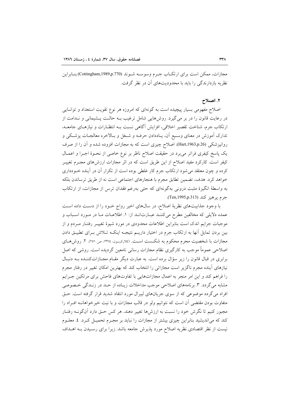مجازات، ممکن است برای ارتکـاب جـرم وسوســه شــوند (Cottingham,1989,p.770)بنــابراين نظر به بازدارندگی را باید با محدودیتهای آن در نظر گرفت.

#### ۲. اصلاح

اصلاح مفهومی بسیار پیچیده است به گونهای که امروزه هر نوع تقویت استعداد و توانایی در رعایت قانون را در بر میگیرد. روشهایی شامل ترغیب بـه حالـت پــشیمانی و نــدامت از ارتکاب جرم، شناخت تقصیر اخلاقی، افزایش آگاهی نسبت بـه انتظـارات و نیازهـای جامعـه، تدارک آموزش در معنای وسـیع آن، یـاددادن حرفـه و شـغل و بـالاخره معالجـات پزشـکی و روانپزشکی (Hart,1963,p.26). اصلاح چیزی است که به مجازات افزوده شده و آن را از صرف یک پاسخ کیفری فراتر می برد در حقیقت اصلاح ناظر بر نوع خاصی از نحـوهٔ اجـرا و اعمـال کیفر است. کارکرد مفید اصلاح از این طریق است که در اثر مجازات ارزشهای مجـرم تغییــر کرده و چون معتقد می شود ارتکاب جرم کار غلطی بوده است از تکرار آن در آینده خــودداری خواهد كرد. هدف، تضمين تطابق مجرم با هنجارهاي اجتماعي است نه از طريق ترساندن بلكه به واسطهٔ انگیزهٔ مثبت درونی بهگونهای که حتی بهرغم فقدان ترس از مجازات، از ارتکاب جرم يرهيز كند (Ten,1995,p.313).

با وجود جذابیتهای نظریهٔ اصلاح، در سالهای اخیر رواج خـود را از دسـت داده اسـت عمده دلایلی که مخالفین مطرح میکننـد عبـارت|نـد از: ۱. اطلاعـات مـا در مـورد اسـباب و موجبات جرایم اندک است بنابراین اطلاعات محدودی در مورد شیوهٔ تغییـر رفتـار مـردم و از بین بردن تمایل آنها به ارتکاب جرم در اختیار داریـم نتیجـه اینکـه تـلاش بـرای تطبیـق دادن مجازات با شخصیت مجرم محکوم به شکست است. (کلارکسون، ۱۳۷٤، ص ۲۵۱). ۲. روشهای اصلاحی عموماً موجب به کارگیری نظام مجازات رسانی نامعین گردیده است. روشی که اصل برابری در قبال قانون را زیر سؤال برده است. به عبارت دیگر مقـام مجـازاتکننـده بــه دنبـال نیازهای اَینده مجرم ناگزیر است مجازاتی را انتخاب کند که بهترین امکان تغییر در رفتار مجرم را فراهم کند و این امر منجر به اعمال مجازاتهایی با تفاوتهای فاحش برای مرتکین جـرایم مشابه مي گردد. ۳. برنامههاي اصلاحي موجب مداخلات زيـاده از حـد در زنـدگي خـصوصي افراد می گردد موضوعی که از سوی جریانهای لیبرال مورد انتقاد شدید قرار گرفته است. حـق متفاوت بودن مقتضى أن است كه نتوانيم ولو در قالب مجازات و با نيت خيرخواهانــه افــراد را مجبور کنیم تا نگرش خود را نسبت به ارزش ها تغییر دهند. هر کس حـق دارد آنگونــه رفتــار کند که می|ندیشید بنابراین چیزی بیشتر از مجازات را نباید بر مجـرم تحمیـل کـرد. ٤. معلــوم نیست از نظر اقتصادی نظریه اصلاح مورد پذیرش جامعه باشد. زیرا برای رسـیدن بـه اهــداف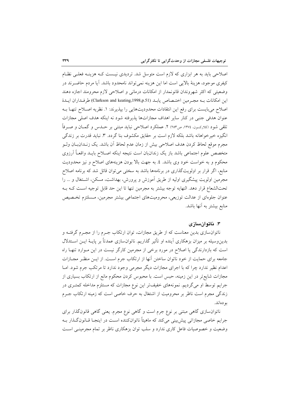اصلاحی باید به هر ابزاری که لازم است متوسل شد. تردیدی نیست کـه هزینـه فعلـی نظـام كيفري موجود، هزينهٔ بالايي است اما اين هزينه نمي تواند نامحدود باشد. آيا مردم حاضـرند در وضعیتی که اکثر شهروندان قانونمدار از امکانات درمانی و اصلاحی لازم محرومند اجازه دهند این امکانات بـه مجـرمین اختـصاص یابـد (Clarkson and keating,1998,p.51) طرفـداران ایـدهٔ اصلاح میبایست برای رفع این انتقادات محدودیتهایی را بپذیرند: ۱. نظریه اصـلاح تنهـا بـه عنوان هدفي جنبي در كنار ساير اهداف مجازاتها يذيرفته شود نه اينكه هدف اصلي مجازات تلقی شود (کلارکسون، ١٣٧٤، ص١٣٧ ٢. عملکرد اصلاحی نباید مبتنی بر حــدس و گـمــان و صــرفاً انگیزه خیرخواهانه باشد بلکه لازم است بر حقایق مکشوف بنا گردد. ۳. نباید قدرت بر زندگی مجرم موقع لحاظ كردن هدف اصلاحي بيش از زمان عدم لحاظ أن باشد. يک زنــدان بــان ولــو متخصص علوم اجتماعي باشد باز يک زندان بان است نتيجه اينکه اصـلاح بايــد واقعــاً آرزوي محکوم و به خواست خود وی باشد. ٤. به جهت بالا بودن هزینههای اصلاح و نیز محدودیت منابع، اگر قرار بر اولویتگذاری در برنامهها باشد به سختی می توان قائل شد که برنامه اصلاح مجرمین اولویت پیشگیری اولیه از طریق آموزش و پرورش، بهداشت، مسکن، اشتغال و … را تحتالشعاع قرار دهد. النهايه توجه بيشتر به مجرمين تنها تا اين حد قابل توجيه است كـه بـه عنوان جلوهای از عدالت توزیعی، محرومیتهای اجتماعی بیشتر مجرمین، مسلتزم تخصیص منابع بیشتر به آنها باشد.

#### ۳. ناتوان سازی

ناتوانسازی بدین معناست که از طریق مجازات، توان ارتکاب جـرم را از مجـرم گرفتــه و بدینِ وسیله بر میزان بزهکاری آینده او تأثیر گذاریم. ناتوانسازی عمدتاً بر پایــهٔ ایــن اســتدلال است که بازدارندگی یا اصلاح در مورد برخی از مجرمین کارگر نیست در این مـوارد تنهـا راه جامعه برای حمایت از خود ناتوان ساختن آنها از ارتکاب جرم است. از ایـن منظـر مجــازات اعدام نظیر ندارد چرا که با اجرای مجازات دیگر مجرمی وجود ندارد تا مرتکب جرم شود. امـا مجازات شایع تر در این زمینه، حبس است. با محبوس کردن محکوم مانع از ارتکاب بسیاری از جرایم توسط او می گردیم. نمونههای خفیفتر این نوع مجازات که مستلزم مداخله کمتـری در زندگی مجرم است ناظر بر محرومیت از اشتغال به حرف خاصی است که زمینه ارتکاب جـرم بو دماند.

ناتوان سازی گاهی مبتنی بر نوع جرم است و گاهی نوع مجرم. یعنی گاهی قانونگذار برای جرایم خاصی مجازاتی پیش بینی میکند که ماهیتاً ناتوانکننده است در اینجـا قــانونگــذار بــه وضعیت و خصوصیات فاعل کاری ندارد و سلب توان بزهکاری ناظر بر تمام مجرمینبی است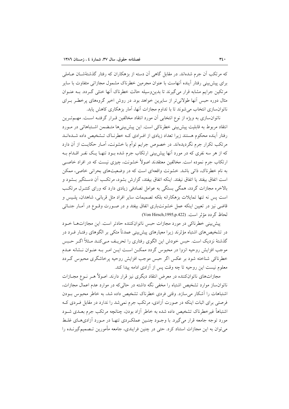که مرتکب آن جرم شدهاند. در مقابل گاهی آن دسته از بزهکاران که رفتار گذشتهٔشــان عــاملی برای پیش بینی رفتار آینده آنهاست با عنوان مجرمین خطرناک مشمول مجازاتی متفاوت با سایر مرتکین جرایم مشابه قرار می گیرند تا بدین وسیله حالت خطرناک آنها خنثی گـردد. بــه عنــوان مثال دوره حبس أنها طولانی تر از سایرین خواهد بود. در روش اخیر گروههای پرخطـر بـرای ناتوانسازی انتخاب می شوند تا با تداوم مجازات آنها، آمار بزهکاری کاهش پابد.

ناتوان سازی به ویژه از نوع انتخابی آن مورد انتقاد مخالفین قـرار گرفتــه اســت. مهــمتــرین انتقاد مربوط به قابليت پيش بيني خطرناكي است. اين پيش بيني ها متـضمن اشـتباهاتي در مـورد رفتار آینده محکوم هستند زیرا تعداد زیادی از افـرادی کـه خطرنـاک تـشخیص داده شــدهانــد مرتکب تکرار جرم نگردیدهاند. در خصوص جرایم توأم با خشونت، آمـار حکایـت از آن دارد که از هر سه نفری که در مورد آنها پیش بینی ارتکاب جرم شده بــود تنهــا یــک نفــر اقــدام بــه ارتکاب جرم نموده است. مخالفین معتقدند اصولاً خشونت، چیزی نیست که در افراد خاصبی به نام خطرناک، ذاتی باشد. خشونت واقعهای است که در وضعیتهای بحرانی خاصی، ممکن است اتفاق بيفتد يا اتفاق نيفتد. اينكه اتفاق بيفتد، گزارش بشود، مرتكـب آن دسـتگير بــشود و بالاخره مجازات گردد، همگی بستگی به عوامل تصادفی زیادی دارد که ورای کنتـرل مرتکـب است پس نه تنها تمایلات بزهکارانه بلکه تصمیمات سایر افراد مثل قربانی، شاهدان، پلـیس و قاضی نیز در تعیین اینکه عمل خشونتباری اتفاق بیفتد و در صـورت وقـوع در آمـار جنـائی لحاظ گر دد مؤثر است. (Von Hirsch,1995,p.422)

پیش بینی خطرناکی در مورد مجازات حبس ناتوانکننده حادتر است. این مجازاتها خــود در تشخیصهای اشتباه مؤثرند زیرا معیارهای پیش بینی عمدتاً متکی بر الگوهای رفتـار فـرد در گذشتهٔ نزدیک است. حبس خودش این الگوی رفتاری را تحریـف مـیکنـد مـثلاً اگـر حـبس موجب افزایش روحیه انزوا در محبوس گردد ممکـن اسـت ایـن امـر بـه عنـوان نـشانه عـدم خطرناکی شناخته شود بر عکس اگر حبس موجب افزایش روحیه پرخاشگری محبوس گـردد معلوم نيست اين روحيه تا چه وقت پس از آزادى ادامه پيدا كند.

مجازاتهای ناتوانکننده در معرض انتقاد دیگری نیز قرار دارند. اصولاً هـر نـوع مجــازات ناتوان ساز موارد تشخیص اشتباه را مخفی نگه داشته در حالی که در موارد عدم اعمال مجازات، اشتباهات را آشکار می سازد. وقتی فردی خطرناک تشخیص داده شد، به خاطر محبوس بودن فرصتی برای اثبات اینکه در صورت آزادی، مرتکب جرم نمی شد را ندارد در مقابل فـردی کـه اشتباهاً غیرخطرناک تشخیص داده شده به خاطر آزاد بودن، چنانچه مرتکب جرم بعــدی شــود مورد توجه جامعه قرار می گیرد. با وجـود چنـین عملکـردی تنهـا در مـورد آزادیهـای غلـط می توان به این مجازات استناد کرد. حتی در چنین فرایندی، جامعه مأمورین تـصمیمگیرنــده را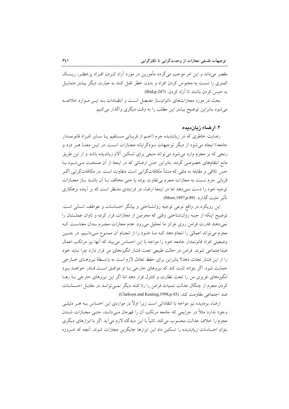مقصر می داند و این امر موجب می گردد مأمورین در مورد آزاد ک دن افـراد پرخطـر، ریــسک کمتری را نسبت به محبوس کردن افراد و بدون خطر تقبل کنند به عبارت دیگر بیشتر متماسل به حبس کردن باشند تا اَزاد کردن. (Ibid,p.247)

بحث در مورد مجازاتهای ناتوانساز مفـصل اسـت و انتقـادات بـه ايـن مـوارد خلاصـه می شود بنابراین توضیح بیشتر این مطلب را به وقت دیگری واگذار می کنیم.

## ۴. ارضاء زیان دیده

رضایت خاطری که در زیاندیده جرم (اعـم از قربـانی مـستقیم یـا سـایر افـراد قانونمـدار جامعه) ایجاد میشود از دیگر توجیهات سودگرایانه مجـازات اسـت. در ایـن معنـا هــر درد و رنجی که بر مجرم وارد می شود می تواند منبعی برای تسکین آلام زیاندیده باشد و از این طریق مانع انتقامهای خصوصی گردد. بنابراین حس ارضائی که در اینجا از آن صـحبت مـی شـود بــا حس تلافی و مقابله به مثلی که منشأ مکافاتگرایی است متفاوت است. در مکافاتگرایی اگـر قربانی جرم نسبت به مجازات مجرم بی تفاوت بوده یا حتی مخالف بــا آن باشــد بــاز مجــازات توجیه خود را دست نمیدهد اما در اینجا ارضاء در فرایندی مدنظر است که بر آینده بزهکاری تأثير مثبت گذارد. (Moor,1997,p.89)

این رویکرد در واقع نوعی توجیه روانشناختی و بیانگر احساسات و عواطف انسانی است. توضیح اینکه از جنبه روانشناختی وقتی که مجرمین از مجازات فرار کرده و تاوان عملـشان را نمی دهند قدرت فرامن روی غرائز ما تحلیل می رود. عدم مجازات مجـرم بـدان معناسـت کـه مجرم مي تواند اعمالي را انجام دهد كـه مـا خـود را از انجـام آن ممنـوع مـىدانـيم. در چنـين وضعيتي افراد قانونمدار جامعه خود را مواجه با اين احساس مي بيند كه أنها نيز مرتكب اعمال ضداجتماعی شوند. فرامن در حالت طبیعی تحت فشار انگیزههای من قرار دارد چرا نباید خود را از این فشار نجات دهد؟ بنابراین برای حفظ تعادل لازم است به واسـطهٔ نیروهـای خــارجی حمایت شود. اگر بتواند ثابت کند که نیروهای خارجی بـا او موافـق اسـت قـادر خواهـد بـود انگیزههای غریزی من را تحت نظارت و کنترل قرار دهد اما اگر این نیروهای خارجی بـا رهـا کردن مجرم از چنگال عدالت تمنیات فرامن را ردّ کنند دیگر نمبی توانـد در مقابـل احـساسات ضد اجتماعی مقاومت کند. (Clarkson and Keating,1998,p.43)

ارضاء بزهدیده نیز مواجه با انتقاداتی است زیرا اولاً در مواردی این احساس بـه هـر دلیلــ ٍ وجود ندارد مثلاً در جرایمی که جامعه مرتکب آن را قهرمان مے دانـد، حتـی مجـازات شــدن مجرم را خلاف عدالت محسوب مى كند. ثانياً با اين ديدگاه لازم مى آيد اگر با ابزارهاى ديگرى بتوان احساسات زیاندیده را تسکین داد این ابزارها جایگزین مجازات شوند. آنچه که امـروزه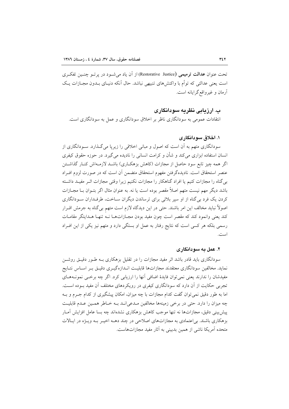تحت عنوان عدالت ترميمي (Restorative Justice) از آن ياد مي شــود در پر تــو چنــين تفكـري است یعنی عدالتی که توأم با واکنش های تنبیهی نباشد. حال آنکه دنیـای بــدون مجــازات یــک آرمان و غیرواقع گرایانه است.

## ب. ارزیابی نظریه سودانگاری

انتقادات عمومی به سودانگاری ناظر بر اخلاق سودانگاری و عمل به سودانگاری است.

## ۱. اخلاق سو دانگاری

سودانگاری متهم به آن است که اصول و مبانی اخلاقی را زیریا می گـذارد. سـودانگاری از انسان استفاده ابزاری می کند و شأن و کرامت انسانی را نادیده می گیرد. در حوزه حقوق کیفری اگر همه چیز تابع سود حاصل از مجازات (کاهش بزهکـاری) باشـد لازمـهاش کنـار گذاشـتن عنصر استحقاق است. نادیدهگرفتن مفهوم استحقاق متضمن آن است که در صورت لزوم افـراد بی گناه را مجازات کنیم یا افراد گناهکار را مجازات نکنیم زیرا وقتی مجازات اثـر مفیـد داشـته باشد دیگر مهم نیست متهم اصلاً مقصر بوده است یا نه. به عنوان مثال اگر بتـوان بــا مجــازات کردن یک فرد بی گناه از او سپر بلائی برای ترساندن دیگران سـاخت، طرفـداران سـودانگاری اصولاً نباید مخالف این امر باشند. حتی در این دیدگاه لازم است متهم بی گناه به جرمش اقــرار کند یعنی وانمود کند که مقصر است چون مفید بودن مجـازاتهـا نــه تنهـا هــدایتگر مقامـات رسمی بلکه هر کسی است که نتایج رفتار به عمل او بستگی دارد و متهم نیز یکی از این افـراد

### ۲. عمل به سودانگاری

سودانگاری باید قادر باشد اثر مفید مجازات را در تقلیل بزهکاری بـه طـور دقیـق روشـن نماید. مخالفین سودانگاری معتقدند مجازاتها قابلیت انـدازهگیـری دقیـق بـر اسـاس نتــایج مفیدشان را ندارند یعنی نمی توان فایدهٔ اضافی آنها را ارزیابی کرد. اگر چه برخـی نمونــههــای تجربی حکایت از آن دارد که سودانگاری کیفری در رویکردهای مختلف آن مفید بـوده اسـت. اما به طور دقیق نمی توان گفت کدام مجازات با چه میزان، امکان پیشگیری از کدام جــرم و بــه چه میزان را دارد. حتی در برخی زمینهها مخالفین مـدعی|نــد بــه خــاطر همـین عــدم قابلیـت ییش بینی دقیق، مجازاتها نه تنها موجب کاهش بزهکاری نشدهاند چه بسا عامل افزایش آمـار بزهکاری باشند. بی|عتمادی به مجازاتهای اصلاحی در چند دهـه اخیـر بـه ویـژه در ایـالات متحده آمریکا ناشی از همین بدبینی به آثار مفید مجازاتهاست.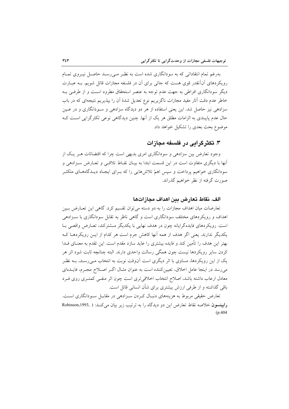بهرغم تمام انتقاداتی که به سودانگاری شده است به نظـر مـی٫رسـد حاصـل نیــروی تمــام رویکردهای آنآنقدر قوی هست که جائی برای آن در فلسفه مجازات قائل شویم. بـه عبــارت دیگر سودانگاری افراطی به جهت عدم توجه به عنصر استحقاق مطرود است و از طرفـی بـه خاطر عدم دقت آثار مفید مجازات ناگزیریم نوع تعدیل شدهٔ آن را بپذیریم نتیجهای که در باب سزادهی نیز حاصل شد. این یعنی استفاده از هر دو دیدگاه سزادهی و سـودانگاری و در عـین حال عدم پایبندی به الزامات مطلق هر یک از آنها. چنین دیدگاهی نوعی تکثرگرایی است ک موضوع بحث بعدی را تشکیل خواهد داد.

# ۳. تکثر گرامی در فلسفه مجازات

وجود تعارض بین سزادهی و سودانگاری امری بدیهی است چرا که اقتضائات هـر یـک از آنها با دیگری متفاوت است در این قسمت ابتدا به بیـان نقـاط تلاقـی و تعـارض سـزادهی و سودانگاری خواهیم پرداخت و سپس اهمّ تلاشهایی را که بـرای ایجـاد دیـدگاههـای متکثـر صورت گرفته از نظر خواهیم گذراند.

## الف. نقاط تعارض بين اهداف مجازاتها

تعارضات میان اهداف مجازات را به دو دسته می توان تقسیم کرد. گاهی این تعـارض بـین اهداف و رویکردهای مختلف سودانگاری است و گاهی ناظر به تقابل سودانگاری با سـزادهی است. رویکردهای فایدهگرایانه چون در هدف نهایی با یکدیگر مشترکند، تعـارض واقعـی بـا یکدیگر ندارند. یعنی اگر هدف از همه آنها کاهش جرم است هر کدام از ایـن رویکردهـا کـه بهتر این هدف را تأمین کند و فایده بیشتری را عاید سازد مقدم است. این تقدم به معنــای فــدا کردن سایر رویکردها نیست چون همگی رسالت واحدی دارند. البته چنانچه ثابت شود اثر هر یک از این رویکردها، مساوی با اثر دیگری است آنوقت نوبت به انتخاب مـی٬رسـد، بــه نظـر می رسد در اینجا عامل اخلاق، تعیین کننده است به عنوان مثـال اگـر اصـلاح مجـرم، فایــدهای معادل ارعاب داشته باشد، اصلاح انتخاب اخلاقی تری است چون اثر منفـی کمتـری روی فـرد باقی گذاشته و از طرفی ارزش بیشتری برای شأن انسانی قائل است.

تعارض حقیقی مربوط به هزینههای دنبـال کـردن سـزادهی در مقابـل سـودانگاری اسـت. رابينسون خلاصه نقاط تعارض اين دو ديدگاه را به ترتيب زير بيان مي كنـد: ( ,Robinson,1993  $(p.404)$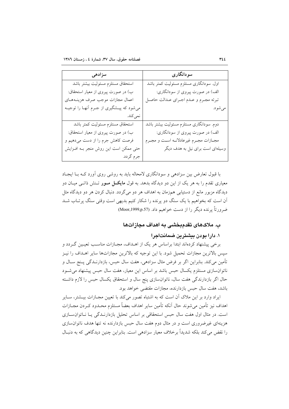| سزادهى                                    | سودانگاری                                   |
|-------------------------------------------|---------------------------------------------|
| استحقاق مستلزم مسئوليت بيشتر باشد         | اول. سودانگاری مستلزم مسئولیت کمتر باشد     |
| ب) در صورت پیروی از معیار استحقاق:        | الف) در صورت پیروی از سودانگاری:            |
| اعمال مجازات موجب صرف هزينـههـاي          | تبرئه مجرم و عـدم اجـراي عـدالت حاصـل       |
| میشود که پیـشگیری از جـرم أنهـا را توجیـه | مي شود.                                     |
| نمي كند.                                  |                                             |
| استحقاق مستلزم مسئوليت كمتر باشد          | دوم. سودانگاری مستلزم مسئولیت بیشتر باشد    |
| ب) در صورت پیروی از معیار استحقاق:        | الف) در صورت پیروی از سودانگاری:            |
| فرصت کاهش جرم را از دست می دهیم و         | مجــازات مجــرم غيرعادلانــه اســت و مجــرم |
| حتی ممکن است این روش منجر بـه افــزایش    | وسیلهای است برای نیل به هدف دیگر            |
| جرم گردد.                                 |                                             |

با قبول تعارض بین سزادهی و سودانگاری لامحاله باید به روشی روی آورد کـه بـا ایجـاد معیاری تقدم را به هر یک از این دو دیدگاه بدهد. به قول **مایک**ــل مــور تــنش ذاتــی میــان دو دیدگاه مزبور مانع از دستیابی همزمان به اهداف هر دو می گردد. دنبال کردن هر دو دیدگاه مثل اّن است که بخواهیم با یک سنگ دو پرنده را شکار کنیم بدیهی است وقتی سنگ پرتـاب شـد ضرورتاً پرنده دیگر را از دست خواهیم داد. (Moor,1999,p.57)

## ب. ملاکهای تقدمبخشی به اهداف مجازاتها

### ۱. دارا بودن بیشترین ضمانتاجرا

برخی پیشنهاد کردهاند ابتدا براساس هر یک از اهـداف، مجـازات مناسـب تعیـین گـردد و سپس بالاترین مجازات تحمیل شود. با این توجیه که بالاترین مجازاتها سایر اهـداف را نیـز تأمین میکند. بنابراین اگر بر فرض مثال سزادهی، هفت سال حبس، بازدارنــدگی پــنج ســال و ناتوان سازی مستلزم یکسال حبس باشد بر اساس این معیار، هفت سال حبس پیشنهاد می شـود حال اگر بازدارندگی هفت سال، ناتوانسازی پنج سال و استحقاق یکسال حبس را لازم داشته باشد، هفت سال حبس بازدارنده، مجازات مقتضى خواهد بود.

ایراد وارد بر این ملاک آن است که به اشتباه تصور می کند با تعیین مجــازات بیــشتر، ســایر اهداف نيز تأمين مى شوند حال آنكه تأمين ساير اهداف بعضاً مستلزم محـدود كـردن مجــازات است. در مثال اول هفت سال حبس استحقاقی بر اساس تحلیل بازدارنـدگی یــا نــاتوان ســازی هزینهای غیرضروری است و در مثال دوم هفت سال حبس بازدارنده نه تنها هدف ناتوانسازی را نقض مي كند بلكه شديداً برخلاف معيار سزادهي است. بنابراين چنين ديدگاهي كه به دنبـال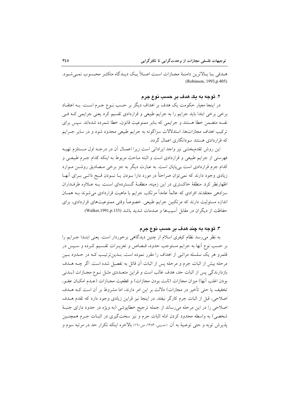هـدفي بــا بــالاترين دامنــهٔ مجــازات اســت اصــلاً يــک ديــدگاه متکثــر محــسوب نمــي شــود. (Robinson, 1993, p.405)

## ۲. توجه به یک هدف بر حسب نوع جرم

در اینجا معیار حکومت یک هدف بر اهداف دیگر بر حسب نــوع جــرم اســت. بــه اعتقــاد برخی برخی ابتدا باید جرایم را به جرایم طبیعی و قراردادی تقسیم کرد یعنی جرایمی کـه فـی نفسه متضمن خطا هستند و جرایمی که بنابر ممنوعیت قانون، خطا شمرده شدهاند. سپس برای ترکیب اهداف مجازاتها، استدلالات سزاگونه به جرایم طبیعی محدود شود و در سایر جـرایم که قراردادی هستند سودانگاری اعمال گردد.

این روش تقدمبخشی نیز واجد ایراداتی است زیرا اعمـال آن در درجـه اول مـستلزم تهیـه فهرستی از جرایم طبیعی و قراردادی است و البته مباحث مربوط به اینکه کدام جــرم طبیعــی و کدام جرم قراردادی است بی پایان است. به عبارت دیگر به جز برخی مـصادیق روشــن مـوارد زیادی وجود دارند که نمی توان صراحتاً در مورد دارا بـودن یــا نبـودن قـبح ذاتـی بـرای آنهـا اظهارنظر کرد. منطقهٔ خاکستری در این زمینه، منطقـهٔ گـستردهای اسـت. بــه عــلاوه طرفــداران سزادهی معتقدند افرادی که عالماً عامداً مرتکب جرایم با ماهیت قراردادی می شوند بــه همــان اندازه مسئولیت دارند که مرتکبین جرایم طبیعی. خصوصاً وقتی ممنوعیتهای قراردادی، برای حفاظت از دیگران در مقابل آسیبها و صدمات شدید باشد (Walker,1991,p.133)

# ۳. توجه به چند هدف بر حسب نوع جرم

به نظر میرسد نظام کیفری اسلام از چنین دیدگاهی برخوردار است. یعنی ابتـدا جــرایم را بر حسب نوع أنها به جرايم مستوجب حدود، قـصاص و تعزيــرات تقــسيم كــرده و ســيس در قلمرو هر یک سلسله مراتبی از اهداف را مقرر نموده است. بــدین ترتیــب کــه در حــدود بــین مرحله بیش از اثبات جرم و مرحله پس از اثبات آن قائل به تفصیل شده است. اگر چــه هــدف بازدارندگی پس از اثبات حد، هدف غالب است و قراین متعـددی مثـل نـوع مجـازات (بـدنی بودن اغلب أنها) ميزان مجازات (ثابت بودن مجازات) و قطعيت مجــازات (عــدم امكــان عفــو، تخفیف یا حتی تأخیر در مجازات) دلالت بر این امر دارند، اما مشروط بر آن است کـه هـدف اصلاحی، قبل از اثبات جرم کارگر نیفتد. در اینجا نیز قراین زیادی وجود دارد که تقدم هـدف اصلاحی را در این مرحله می رساند از جمله ترجیح خطاپوشی (به ویژه در حدود دارای جنبهٔ شخصی) به واسطه محدود کردن ادله اثبات جرم و نیز سختگیری در اثبـات جـرم همچنـین پذیرش توبه و حتی توصیهٔ به آن. (حسینی، ۱۳۸۳، ص۱٦۰) بالاخره اینکه تکرار حد در مرتبه سوم و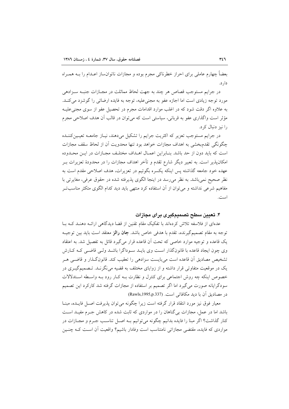بعضاً چهارم عاملي براي احراز خطرناكي مجرم بوده و مجازات ناتوانساز اعـدام را بــه همـراه دار د.

در جرایم مستوجب قصاص هر چند به جهت لحاظ مماثلت در مجــازات جنبــه ســزادهی مورد توجه زیادی است اما اجازه عفو به مجنیعلیه، توجه به فایده ارضائی را گوشزد می کنـد. به علاوه اگر دقت شود که در اغلب موارد اقدامات مجرم در تحصیل عفو از سوی مجنی علیـه مؤثر است واگذاری عفو به قربانی، سیاستی است که می توان در قالب آن هدف اصلاحی مجرم را نیز دنبال کرد.

در جرايم مستوجب تعزير كه اكثريت جرايم را تشكيل مي دهند، نيـاز جامعــه تعيـين كننــده چگونگی تقدم بخشی به اهداف مجازات خواهد بود تنها محدویت أن از لحاظ سقف مجازات است كه بايد دون از حد باشد. بنـابراين اعمـال اهـداف مختلـف مجـازات در ايــن محـدوده امکان پذیر است. به تعبیر دیگر شارع تقدم و تأخر اهداف مجازات را در محدودهٔ تعزیرات بـر عهده خود جامعه گذاشته پس اینکه یکسره بگوئیم در تعزیرات، هدف اصلاحی مقدم است به نظر صحیح نمی باشد. به نظر می رسد در اینجا الگوی پذیرفته شده در حقوق عرفی، مغایرتی با مفاهیم شرعی نداشته و می توان از آن استفاده کرد منتهی باید دید کدام الگوی متکثر مناسب تـر است.

### ۴. تعیین سطح تصمیمگیری برای مجازات

عدهای از فلاسفه تلاش کردهاند با تفکیک مقام تقنین از قضا دیدگاهی ارائـه دهنـد کـه بـا توجه به مقام تصمیمگیرنده، تقدم با هدفی خاص باشد. **جان رالز** معتقد است باید بین توجیـه يک قاعده و توجيه موارد خاصي که تحت اَن قاعده قرار مي گيرد قائل به تفصيل شد. به اعتقاد وی چون ایجاد قاعده با قانونگذار است وی بایـد سـوداگرا باشـد ولـی قاضـی کـه کـارش تشخيص مصاديق أن قاعده است مي بايست سزادهي را تعقيب كند. قانون گـذار و قاضـي هـر یک در موقعیت متفاوتی قرار داشته و از زوایای مختلف به قضیه می نگرنـد. تـصمیمگیــری در خصوص اینکه چه روش اجتماعی برای کنترل و نظارت بـه کـار رود بـه واسـطه اسـتدلالات سودگرایانه صورت می گیرد اما اگر تصمیم بر استفاده از مجازات گرفته شد کارکرد این تصمیم در مصاديق آن با ديد مكافاتي است. (Rawls,1995,p.337)

معيار فوق نيز مورد انتقاد قرار گرفته است زيرا چگونه مي توان يذيرفت اصـل فايـده، مبنــا باشد اما در عمل، مجازات بی گناهان را در مواردی که ثابت شده در کاهش جـرم مفیـد اسـت کنار گذاشت؟ اگر مبنا را فایده بدانیم چگونه میتوانیم بـه اصـل تناسـب جـرم و مجــازات در مواردی که فایده، مقتضی مجازاتی نامتناسب است وفادار باشیم؟ واقعیت أن اسـت کـه چنـین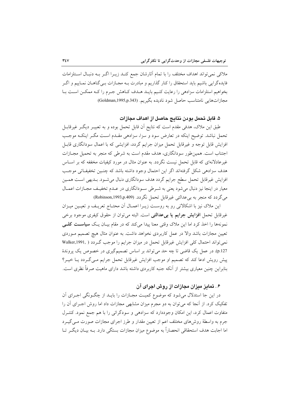ملاکی نمی تواند اهداف مختلف را با تمام آثارشان جمع کنـد زیـرا اگـر بــه دنبـال اسـتلزامات فایدهگرایی باشیم باید استحقاق را کنار گذاریم و مبادرت بـه مجـازات بـیگناهــان نمــاییم و اگــر بخواهیم استلزامات سزادهی را رعایت کنیم بایـد هـدف کـاهش جـرم را کـه ممکـن اسـت بـا مجازاتهايي نامتناسب حاصل شود ناديده بگيريم. (Goldman,1995,p.343)

## ۵. قابل تحمل بودن نتابج حاصل از اهداف مجازات

طبق این ملاک، هدفی مقدم است که نتایج آن قابل تحمل بوده و به تعبیــر دیگــر غیرقابــل تحمل نباشد. توضیح اینکه در تعارض سود و سزا، سزادهی مقـدم اسـت مگـر اینکـه موجـب افزایش قابل توجه و غیرقابل تحمل میزان جرایم گردد، افزایشی که با اعمال سودانگاری قابـل اجتناب است. همینطور سودانگاری، هدف مقدم است به شرطی که منجر به تحمیل مجـازات غیرعادلانهای که قابل تحمل نیست نگردد. به عنوان مثال در مورد کیفیات مخففه که بر اسـاس هدف سزادهي شكل گرفتهاند اگر اين احتمال وجود داشته باشد كه چنـين تخفيفـاتي موجـب افزایش غیرقابل تحمل سطح جرایم گردد هدف سودانگاری دنبال میشود. بـدیهی اسـت همـین معیار در اینجا نیز دنبال می شود یعنی به شـرطی سـودانگاری در عـدم تخفیـف مجـازات اعمـال می گردد که منجر به بی عدالتی غیرقابل تحمل نگردد. (Robinson,1993,p.409)

این ملاک نیز با اشکالاتی رو به روست زیـرا اعمـال آن محتـاج تعریـف و تعیـین میـزان غیرقابل تحمل افزایش جرایم یا بیعدالتی است. البته می توان از حقوق کیفری موجود برخی نمونهها را اخذ کرد اما این ملاک وقتی معنا پیدا میکند که در مقام بیـان یـک **سیاسـت کلــی** تعیین مجازات باشد والا در عمل کاربردی نخواهد داشت. به عنوان مثال هیچ تصمیم مـوردی نمي تواند احتمال كلي افزايش غيرقابل تحمل در ميزان جرايم را موجب گردد ( .Walker,1991 p.127). در عمل یک قاضی تا چه حد می تواند بر اساس تصمیمگیری در خصوص یک پروندهٔ پیش رویش ادعا کند که تصمیم او موجب افزایش غیرقابل تحمل جرایم مـیگـردد یـا خیـر؟ بنابراین چنین معیاری بیشتر از آنکه جنبه کاربردی داشته باشد دارای ماهیت صرفاً نظری است.

# ۰۶ تمایز میزان مجازات از روش اجرای آن

در این جا استدلال می شود که موضوع کمیت مجـازات را بایــد از چگـونگی اجـرای آن تفکیک کرد. از آنجا که می توان به دو مجرم میزان مشابهی مجازات داد اما روش اجـرای آن را متفاوت اعمال کرد، این امکان وجوددارد که سزادهی و سودگرائی را با هم جمع نمود. کنتـرل جرم به واسطهٔ روش۵های مختلف اعم از تعیین مقدار و طرز اجرای مجازات صورت مـی گیــرد اما اجابت هدف استحقاقی انحصاراً به موضوع میزان مجازات بستگی دارد. بـه بیـان دیگـر تـا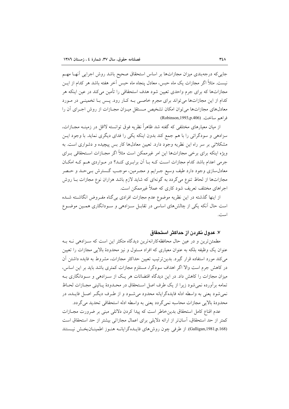جایی که درجهبندی میزان مجازاتها بر اساس استحقاق صحیح باشد روش اجرایی آنهـا مهـم نیست. مثلاً اگر مجازات یک ماه حسن، معادل پنجاه ماه حسن آخر هفته باشد هر کدام از ایــن مجازاتها که برای جرم واحدی تعیین شود هدف استحقاقی را تأمین می کند در عین اینکه هر کدام از این مجازاتها می تواند برای مجرم خاصبی بـه کـار رود. پـس بـا تخمینـی در مـورد معادلهای مجازاتها میتوان امکان تشخیص مستقل میـزان مجـازات از روش اجـرای آن را فراهم ساخت. (Robinson,1993,p.406)

از میان معیارهای مختلفی که گفته شد ظاهراً نظریه فوق توانسته لااقل در زمینــه مجــازات، سزادهی و سودگرائی را با هم جمع کند بدون اینکه یکی را فدای دیگری نماید. با وجود ایــز مشکلاتی بر سر راه این نظریه وجود دارد. تعیین معادلها کار بس پیچیده و دشواری است. به ویژه اینکه برای برخی مجازاتها این امر غیرممکن است مثلاً اگر مجـازات اسـتحقاقی بـرای جرمی اعدام باشد کدام مجازات است کـه بــا اَن برابـری کنــد؟ در مــواردی هــم کــه امکــان معادل $سازی وجود دارد طیف وسیع جــرایم و مجــرمین، موجــب گــسترش بــیحــد و حــصر$ مجازاتها از لحاظ تنوع می گردد به گونهای که شاید لازم باشد هزاران نوع مجازات بــا روش اجراهای مختلف تعریف شود کاری که عملاً غیرممکن است.

از اینها گذشته در این نظریه موضوع عدم مجازات افرادی بی گناه مفـروض انگاشـته شـده است حال آنکه یکی از چالشهای اساسی در تقابـل سـزادهی و سـودانگاری همـین موضـوع است.

## ٧. عدول نكرين از حداكثر استحقاق

مطمئن ترین و در عین حال محافظهکارانهترین دیدگاه متکثر این است که سـزادهی نـه بـه عنوان یک وظیفه بلکه به عنوان معیاری که افراد مسئول و نیز محدودهٔ بالایی مجازات را تعیین می کند مورد استفاده قرار گیرد. بدین ترتیب تعیین حداکثر مجازات، مشروط به فایده داشتن آن در کاهش جرم است والا اگر اهداف سودگرا، مستلزم مجازات کمتری باشد باید بر این اساس، میزان مجازات را کاهش داد. در این دیدگاه اقتضائات هر یک از سـزادهی و سـودانگاری بـه تمامه برآورده نمي شود زيرا از يک طرف اصل اسـتحقاق در محـدودهٔ پــائيني مجــازات لحــاظ نمي شود يعني به واسطه ادله فايده گرايانه محدود مي شـود و از طـرف ديگـر اصـل فايـده، در محدودهٔ بالایی مجازات محاسبه نمی گردد یعنی به واسطه ادله استحقاقی تحدید می گردد.

عدم اقناع کامل استحقاق بدین خاطر است که پیدا کردن دلائلی مبنی بر ضرورت مجبازات كمتر از حد استحقاق، آسانتر از ارائه دلایلی برای اعمال مجازاتی بیشتر از حد استحقاق است (Galligan,1981,p.168). از طرفی چون روش های فاییده گرایانیه هنیوز اطمینیان بخش نیستند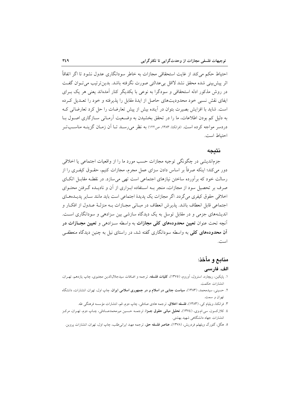احتیاط حکم می کند از غایت استحقاقی مجازات به خاطر سودانگاری عدول نشود تا اگر اتفاقاً اثر پیش بینی شده محقق نشد لااقل بی عدالتی صورت نگرفته باشد. بدین تر تیب می تبوان گفت در روش مذکور ادله استحقاقی و سودگرا به نوعی با یکدیگر کنار آمدهاند یعنی هر یک بـرای ایفای نقش نسبی خود محدودیتهای حاصل از ایدهٔ مقابل را پذیرفته و خود را تعـدیل کـرده است. شاید با افزایش بصیرت بتوان در آینده بیش از پیش تعارضات را حل کرد تعارضاتی کـه به دلیل کم بودن اطلاعات، ما را در تحقق بخشیدن به وضـعیت آرمـانی ســازگاری اصــول بــا دردسر مواجه کرده است. (فرانکنا، ۱۳۸۳، ص۱۲۲) به نظر می رســد تــا اَن زمــان گزینــه مناســــــاتــر احتياط است.

#### نتىحە

جزماندیشی در چگونگی توجیه مجازات حسب مورد ما را از واقعیات اجتماعی یا اخلاقی دور می کند؛ اینکه صرفاً بر اساس دادن سزای عمل مجرم، مجازات کنیم، حقــوق کیفـری را از رسالت خود که برآورده ساختن نیازهای اجتماعی است تهی می سازد. در نقطـه مقابـل اتکـای صرف بر تحصیل سود از مجازات، منجر بـه اسـتفاده ابـزاری از آن و نادیـده گـرفتن محتـوای اخلاقی حقوق کیفری میگردد. اگر مجازات یک پدیدهٔ اجتماعی است باید مانند سـایر پدیـدههـای اجتماعي قابل انعطاف باشد. يذيرش انعطاف در مبـاني مجـازات بــه منزلــهٔ عــدول از افكــار و اندیشههای جزمی و در مقابل توسل به یک دیدگاه سازشی بین سزادهی و سودانگاری است. آنچه تحت عنوان **تعیین محدودههای کلی مجازات** به واسطه سـزادهی و **تعیین مجــازات در** آ**ن محدودههای کلی** به واسطه سودانگاری گفته شد، در راستای نیل به چنین دیدگاه منعطفی است.

## منابع و مأخذ:

#### الف. فارسى

- ۱. پايكين، ريچارد، استرول، آوروم، (١٣٧٥)، **كليات فلسفه**، ترجمه و اضافات سيدجلالالدين مجتبوي، چاپ يازدهم، تهـران، انتشارات حكمت.
- ۲. حسینی، سیدمحمد، (۱۳۸۳)، **سیاست جنایی در اسلام و در جمهوری اسلامی ایران**، چاپ اول، تهران، انتشارات، دانشگاه تهران و سمت.
	- ۳. فرانکنا، ویلیام کی، (۱۳۸۳)، فلسفه اخلاق، ترجمه هادی صادقی، چاپ دوم, قم، انتشارات مؤسسه فرهنگی طه.
- ٤. کلارکسون، سی.ام.وی، (١٣٧٤)، **تحلیل مبانی حقوق جــزا**، ترجمــه حــسین میرمحمدصـادقی، چــاپ دوم، تهـران، مرکــز انتشارات جهاد دانشگاهی شهید بهشتی.
- ٥. هگل، گئورگ ویلهلم فردریش، (١٣٧٨)، عناصر فلسفه حق، ترجمه مهبد ایرانی طلب، چاپ اول، تهران، انتشارات پروین.